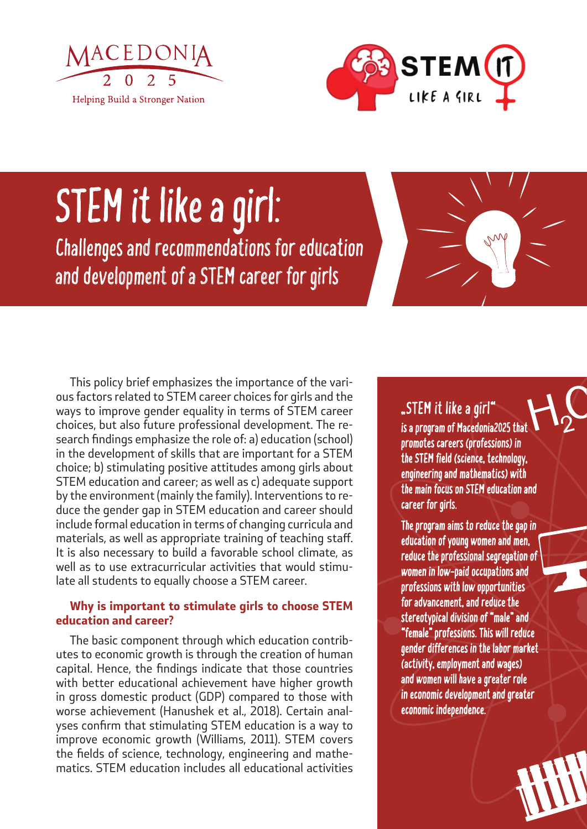



# STEM it like a girl:

Challenges and recommendations for education and development of a STEM career for girls



This policy brief emphasizes the importance of the various factors related to STEM career choices for girls and the ways to improve gender equality in terms of STEM career choices, but also future professional development. The research findings emphasize the role of: a) education (school) in the development of skills that are important for a STEM choice; b) stimulating positive attitudes among girls about STEM education and career; as well as c) adequate support by the environment (mainly the family). Interventions to reduce the gender gap in STEM education and career should include formal education in terms of changing curricula and materials, as well as appropriate training of teaching staff. It is also necessary to build a favorable school climate, as well as to use extracurricular activities that would stimulate all students to equally choose a STEM career.

#### *Why is important to stimulate girls to choose STEM education and career?*

The basic component through which education contributes to economic growth is through the creation of human capital. Hence, the findings indicate that those countries with better educational achievement have higher growth in gross domestic product (GDP) compared to those with worse achievement (Hanushek et al., 2018). Certain analyses confirm that stimulating STEM education is a way to improve economic growth (Williams, 2011). STEM covers the fields of science, technology, engineering and mathematics. STEM education includes all educational activities

### "STEM it like a girl"

is a program of Macedonia2025 th promotes careers (professions) in the STEM field (science, technology, engineering and mathematics) with the main focus on STEM education and career for girls.

The program aims to reduce the gap in education of young women and men, reduce the professional segregation of women in low-paid occupations and professions with low opportunities for advancement, and reduce the stereotypical division of "male" and "female" professions. This will reduce gender differences in the labor market (activity, employment and wages) and women will have a greater role in economic development and greater economic independence.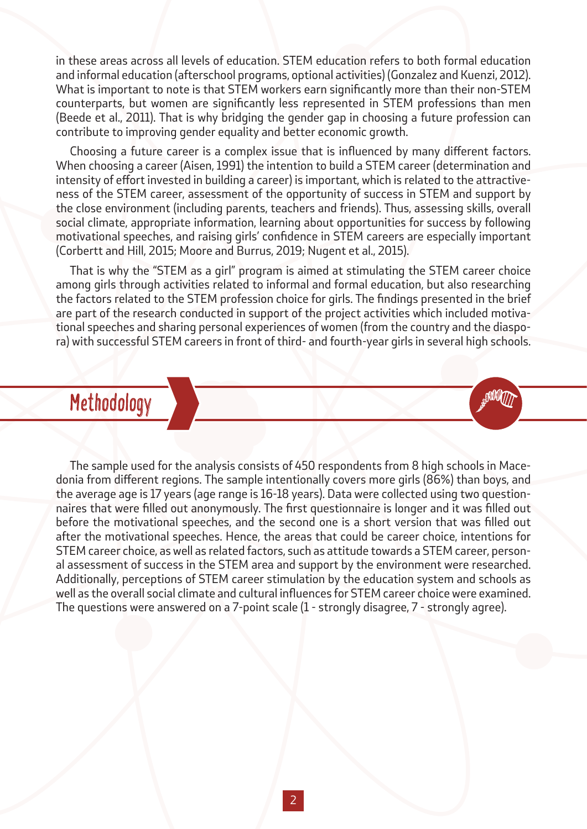in these areas across all levels of education. STEM education refers to both formal education and informal education (afterschool programs, optional activities) (Gonzalez and Kuenzi, 2012). What is important to note is that STEM workers earn significantly more than their non-STEM counterparts, but women are significantly less represented in STEM professions than men (Beede et al., 2011). That is why bridging the gender gap in choosing a future profession can contribute to improving gender equality and better economic growth.

Choosing a future career is a complex issue that is influenced by many different factors. When choosing a career (Aisen, 1991) the intention to build a STEM career (determination and intensity of effort invested in building a career) is important, which is related to the attractiveness of the STEM career, assessment of the opportunity of success in STEM and support by the close environment (including parents, teachers and friends). Thus, assessing skills, overall social climate, appropriate information, learning about opportunities for success by following motivational speeches, and raising girls' confidence in STEM careers are especially important (Corbertt and Hill, 2015; Moore and Burrus, 2019; Nugent et al., 2015).

That is why the "STEM as a girl" program is aimed at stimulating the STEM career choice among girls through activities related to informal and formal education, but also researching the factors related to the STEM profession choice for girls. The findings presented in the brief are part of the research conducted in support of the project activities which included motivational speeches and sharing personal experiences of women (from the country and the diaspora) with successful STEM careers in front of third- and fourth-year girls in several high schools.

**MATT** 

## Methodology

The sample used for the analysis consists of 450 respondents from 8 high schools in Macedonia from different regions. The sample intentionally covers more girls (86%) than boys, and the average age is 17 years (age range is 16-18 years). Data were collected using two questionnaires that were filled out anonymously. The first questionnaire is longer and it was filled out before the motivational speeches, and the second one is a short version that was filled out after the motivational speeches. Hence, the areas that could be career choice, intentions for STEM career choice, as well as related factors, such as attitude towards a STEM career, personal assessment of success in the STEM area and support by the environment were researched. Additionally, perceptions of STEM career stimulation by the education system and schools as well as the overall social climate and cultural influences for STEM career choice were examined. The questions were answered on a 7-point scale (1 - strongly disagree, 7 - strongly agree).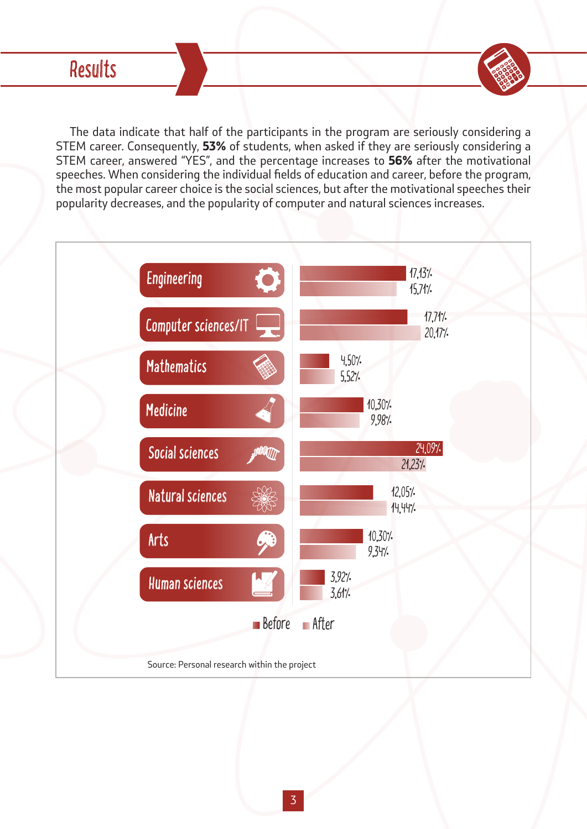The data indicate that half of the participants in the program are seriously considering a STEM career. Consequently, *53%* of students, when asked if they are seriously considering a STEM career, answered "YES", and the percentage increases to *56%* after the motivational speeches. When considering the individual fields of education and career, before the program, the most popular career choice is the social sciences, but after the motivational speeches their popularity decreases, and the popularity of computer and natural sciences increases.

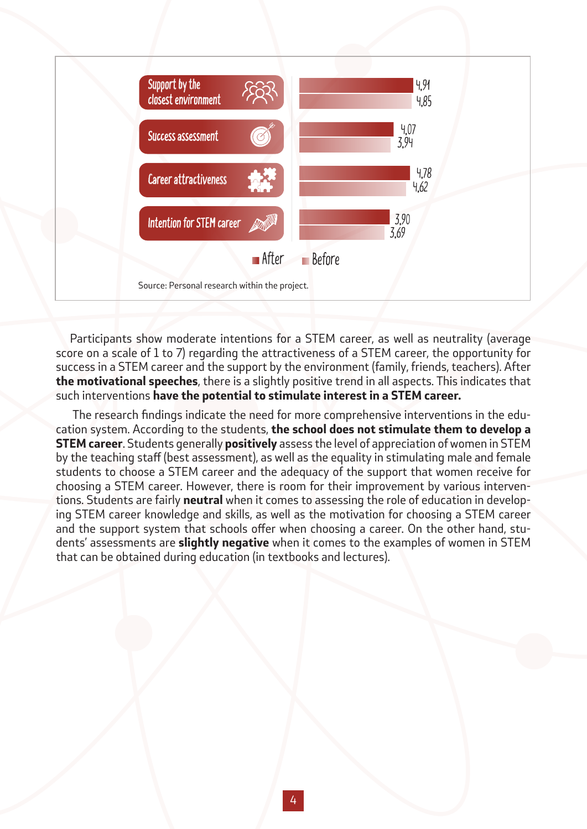

Participants show moderate intentions for a STEM career, as well as neutrality (average score on a scale of 1 to 7) regarding the attractiveness of a STEM career, the opportunity for success in a STEM career and the support by the environment (family, friends, teachers). After *the motivational speeches*, there is a slightly positive trend in all aspects. This indicates that such interventions *have the potential to stimulate interest in a STEM career.*

 The research findings indicate the need for more comprehensive interventions in the education system. According to the students, *the school does not stimulate them to develop a STEM career*. Students generally *positively* assess the level of appreciation of women in STEM by the teaching staff (best assessment), as well as the equality in stimulating male and female students to choose a STEM career and the adequacy of the support that women receive for choosing a STEM career. However, there is room for their improvement by various interventions. Students are fairly *neutral* when it comes to assessing the role of education in developing STEM career knowledge and skills, as well as the motivation for choosing a STEM career and the support system that schools offer when choosing a career. On the other hand, students' assessments are *slightly negative* when it comes to the examples of women in STEM that can be obtained during education (in textbooks and lectures).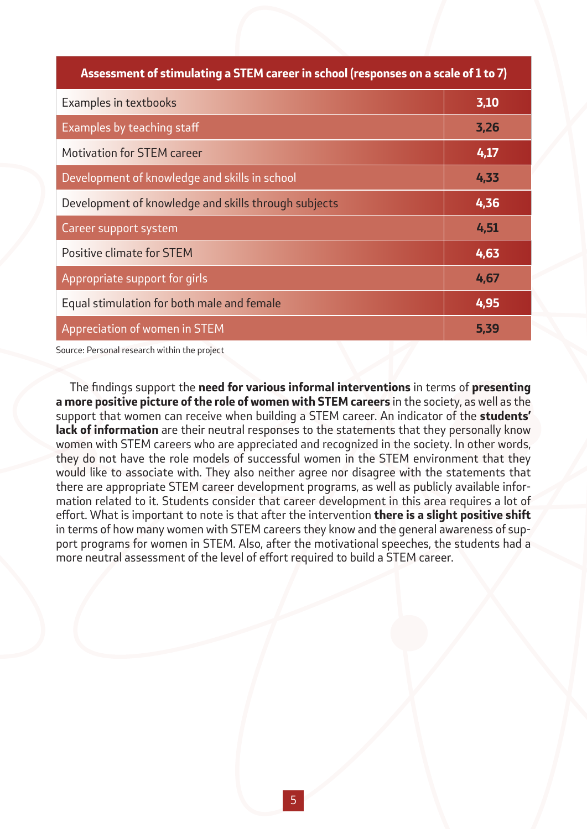| Assessment of stimulating a STEM career in school (responses on a scale of 1 to 7) |      |
|------------------------------------------------------------------------------------|------|
| <b>Examples in textbooks</b>                                                       | 3,10 |
| Examples by teaching staff                                                         | 3,26 |
| <b>Motivation for STEM career</b>                                                  | 4,17 |
| Development of knowledge and skills in school                                      | 4,33 |
| Development of knowledge and skills through subjects                               | 4,36 |
| Career support system                                                              | 4,51 |
| Positive climate for STEM                                                          | 4,63 |
| Appropriate support for girls                                                      | 4,67 |
| Equal stimulation for both male and female                                         | 4,95 |
| Appreciation of women in STEM                                                      | 5,39 |

Source: Personal research within the project

The findings support the *need for various informal interventions* in terms of *presenting a more positive picture of the role of women with STEM careers* in the society, as well as the support that women can receive when building a STEM career. An indicator of the *students' lack of information* are their neutral responses to the statements that they personally know women with STEM careers who are appreciated and recognized in the society. In other words, they do not have the role models of successful women in the STEM environment that they would like to associate with. They also neither agree nor disagree with the statements that there are appropriate STEM career development programs, as well as publicly available information related to it. Students consider that career development in this area requires a lot of effort. What is important to note is that after the intervention *there is a slight positive shift* in terms of how many women with STEM careers they know and the general awareness of support programs for women in STEM. Also, after the motivational speeches, the students had a more neutral assessment of the level of effort required to build a STEM career.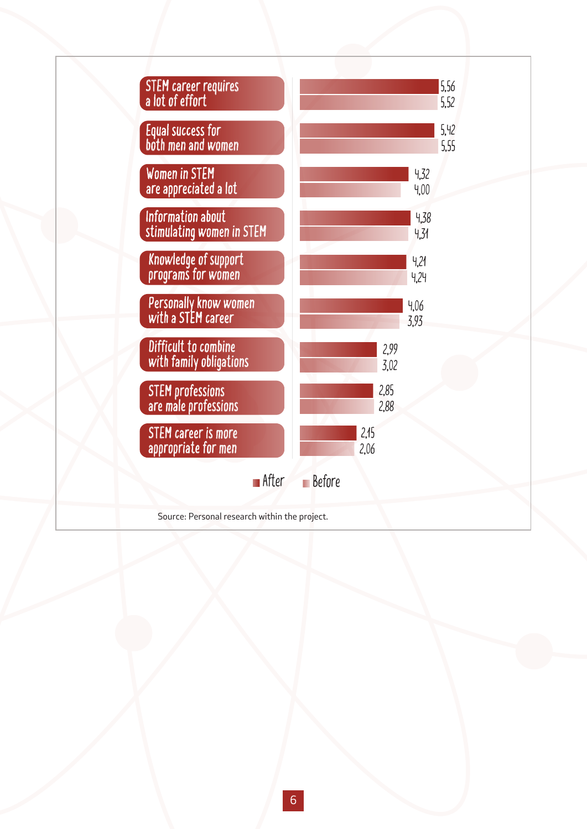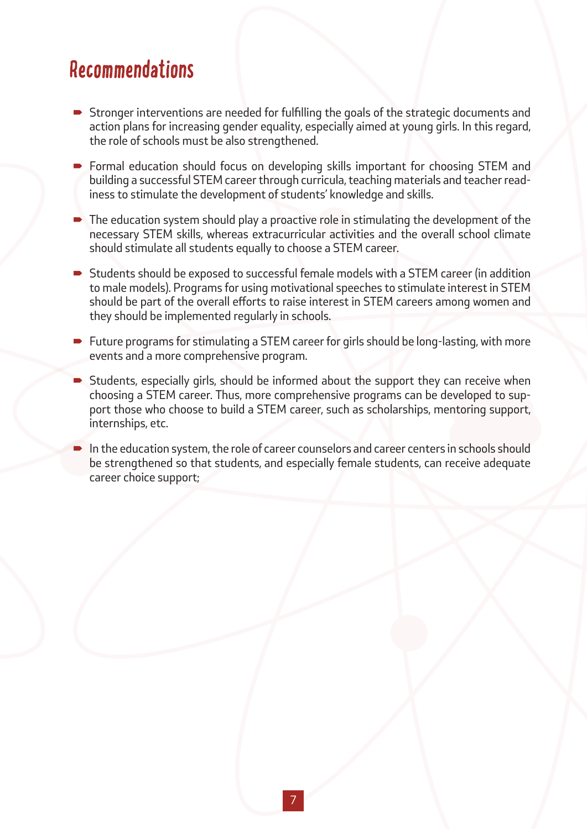## Recommendations

- Stronger interventions are needed for fulfilling the goals of the strategic documents and action plans for increasing gender equality, especially aimed at young girls. In this regard, the role of schools must be also strengthened.
- Formal education should focus on developing skills important for choosing STEM and building a successful STEM career through curricula, teaching materials and teacher readiness to stimulate the development of students' knowledge and skills.
- The education system should play a proactive role in stimulating the development of the necessary STEM skills, whereas extracurricular activities and the overall school climate should stimulate all students equally to choose a STEM career.
- Students should be exposed to successful female models with a STEM career (in addition to male models). Programs for using motivational speeches to stimulate interest in STEM should be part of the overall efforts to raise interest in STEM careers among women and they should be implemented regularly in schools.
- Future programs for stimulating a STEM career for girls should be long-lasting, with more events and a more comprehensive program.
- Students, especially girls, should be informed about the support they can receive when choosing a STEM career. Thus, more comprehensive programs can be developed to support those who choose to build a STEM career, such as scholarships, mentoring support, internships, etc.
- In the education system, the role of career counselors and career centers in schools should be strengthened so that students, and especially female students, can receive adequate career choice support;